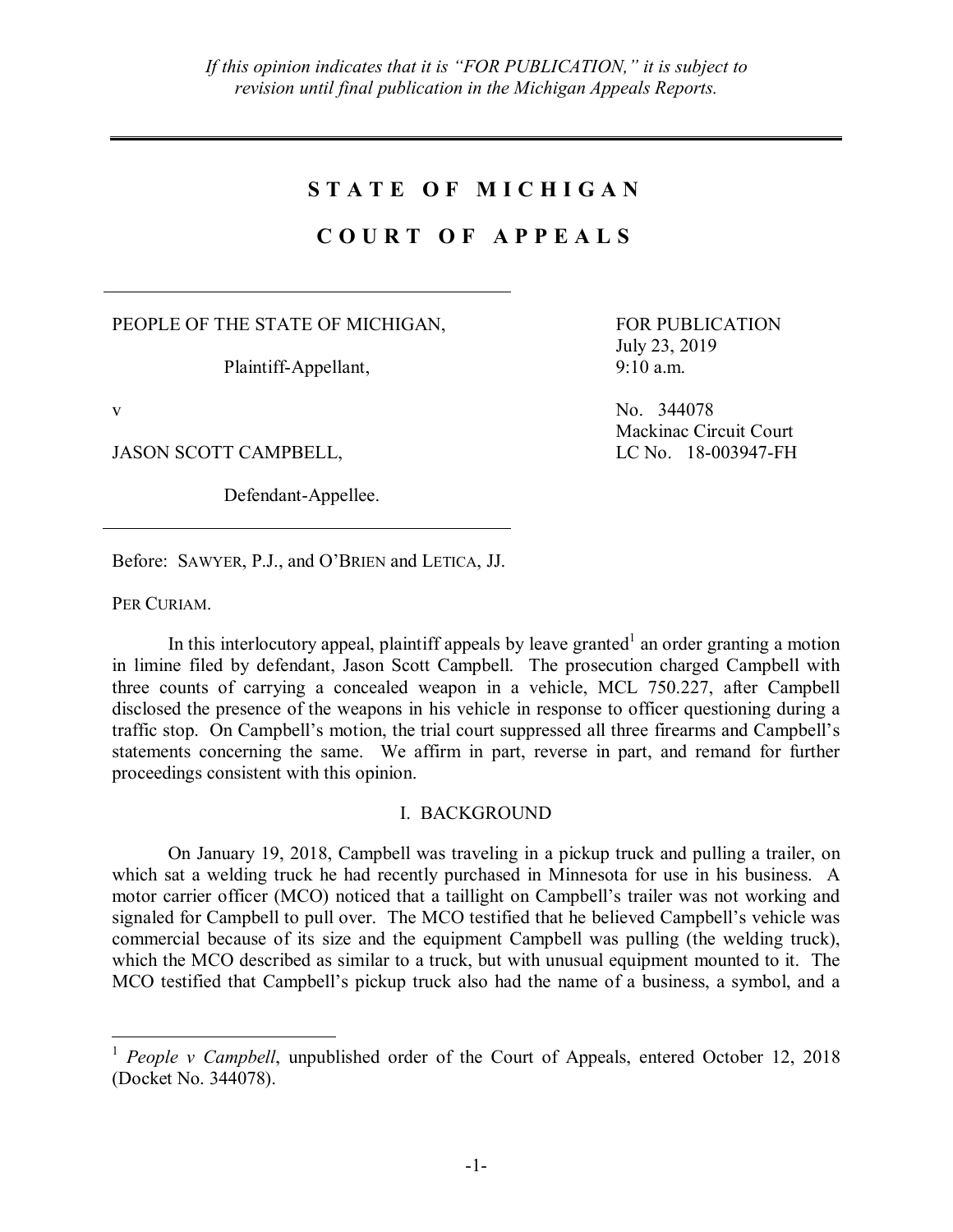## **S T A T E O F M I C H I G A N**

# **C O U R T O F A P P E A L S**

PEOPLE OF THE STATE OF MICHIGAN,

Plaintiff-Appellant,

JASON SCOTT CAMPBELL, LC No. 18-003947-FH

Defendant-Appellee.

FOR PUBLICATION July 23, 2019 9:10 a.m.

v No. 344078 Mackinac Circuit Court

Before: SAWYER, P.J., and O'BRIEN and LETICA, JJ.

PER CURIAM.

In this interlocutory appeal, plaintiff appeals by leave granted<sup>1</sup> an order granting a motion in limine filed by defendant, Jason Scott Campbell. The prosecution charged Campbell with three counts of carrying a concealed weapon in a vehicle, MCL 750.227, after Campbell disclosed the presence of the weapons in his vehicle in response to officer questioning during a traffic stop. On Campbell's motion, the trial court suppressed all three firearms and Campbell's statements concerning the same. We affirm in part, reverse in part, and remand for further proceedings consistent with this opinion.

## I. BACKGROUND

On January 19, 2018, Campbell was traveling in a pickup truck and pulling a trailer, on which sat a welding truck he had recently purchased in Minnesota for use in his business. A motor carrier officer (MCO) noticed that a taillight on Campbell's trailer was not working and signaled for Campbell to pull over. The MCO testified that he believed Campbell's vehicle was commercial because of its size and the equipment Campbell was pulling (the welding truck), which the MCO described as similar to a truck, but with unusual equipment mounted to it. The MCO testified that Campbell's pickup truck also had the name of a business, a symbol, and a

<sup>&</sup>lt;sup>1</sup> *People v Campbell*, unpublished order of the Court of Appeals, entered October 12, 2018 (Docket No. 344078).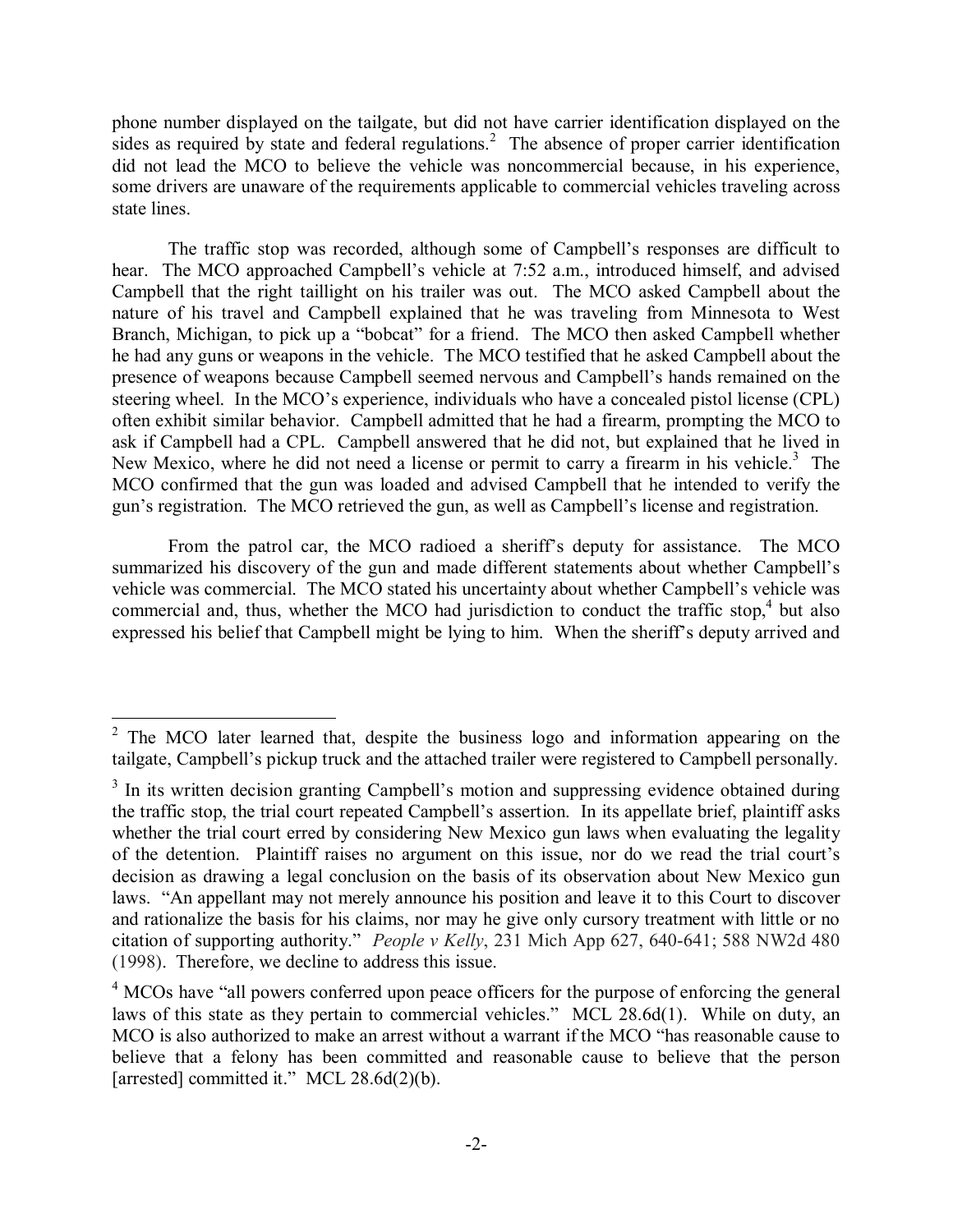phone number displayed on the tailgate, but did not have carrier identification displayed on the sides as required by state and federal regulations.<sup>2</sup> The absence of proper carrier identification did not lead the MCO to believe the vehicle was noncommercial because, in his experience, some drivers are unaware of the requirements applicable to commercial vehicles traveling across state lines.

The traffic stop was recorded, although some of Campbell's responses are difficult to hear. The MCO approached Campbell's vehicle at 7:52 a.m., introduced himself, and advised Campbell that the right taillight on his trailer was out. The MCO asked Campbell about the nature of his travel and Campbell explained that he was traveling from Minnesota to West Branch, Michigan, to pick up a "bobcat" for a friend. The MCO then asked Campbell whether he had any guns or weapons in the vehicle. The MCO testified that he asked Campbell about the presence of weapons because Campbell seemed nervous and Campbell's hands remained on the steering wheel. In the MCO's experience, individuals who have a concealed pistol license (CPL) often exhibit similar behavior. Campbell admitted that he had a firearm, prompting the MCO to ask if Campbell had a CPL. Campbell answered that he did not, but explained that he lived in New Mexico, where he did not need a license or permit to carry a firearm in his vehicle.<sup>3</sup> The MCO confirmed that the gun was loaded and advised Campbell that he intended to verify the gun's registration. The MCO retrieved the gun, as well as Campbell's license and registration.

From the patrol car, the MCO radioed a sheriff's deputy for assistance. The MCO summarized his discovery of the gun and made different statements about whether Campbell's vehicle was commercial. The MCO stated his uncertainty about whether Campbell's vehicle was commercial and, thus, whether the MCO had jurisdiction to conduct the traffic stop,<sup>4</sup> but also expressed his belief that Campbell might be lying to him. When the sheriff's deputy arrived and

<sup>&</sup>lt;sup>2</sup> The MCO later learned that, despite the business logo and information appearing on the tailgate, Campbell's pickup truck and the attached trailer were registered to Campbell personally.

 $3$  In its written decision granting Campbell's motion and suppressing evidence obtained during the traffic stop, the trial court repeated Campbell's assertion. In its appellate brief, plaintiff asks whether the trial court erred by considering New Mexico gun laws when evaluating the legality of the detention. Plaintiff raises no argument on this issue, nor do we read the trial court's decision as drawing a legal conclusion on the basis of its observation about New Mexico gun laws. "An appellant may not merely announce his position and leave it to this Court to discover and rationalize the basis for his claims, nor may he give only cursory treatment with little or no citation of supporting authority." *People v Kelly*, 231 Mich App 627, 640-641; 588 NW2d 480 (1998). Therefore, we decline to address this issue.

<sup>&</sup>lt;sup>4</sup> MCOs have "all powers conferred upon peace officers for the purpose of enforcing the general laws of this state as they pertain to commercial vehicles." MCL 28.6d(1). While on duty, an MCO is also authorized to make an arrest without a warrant if the MCO "has reasonable cause to believe that a felony has been committed and reasonable cause to believe that the person [arrested] committed it." MCL 28.6d(2)(b).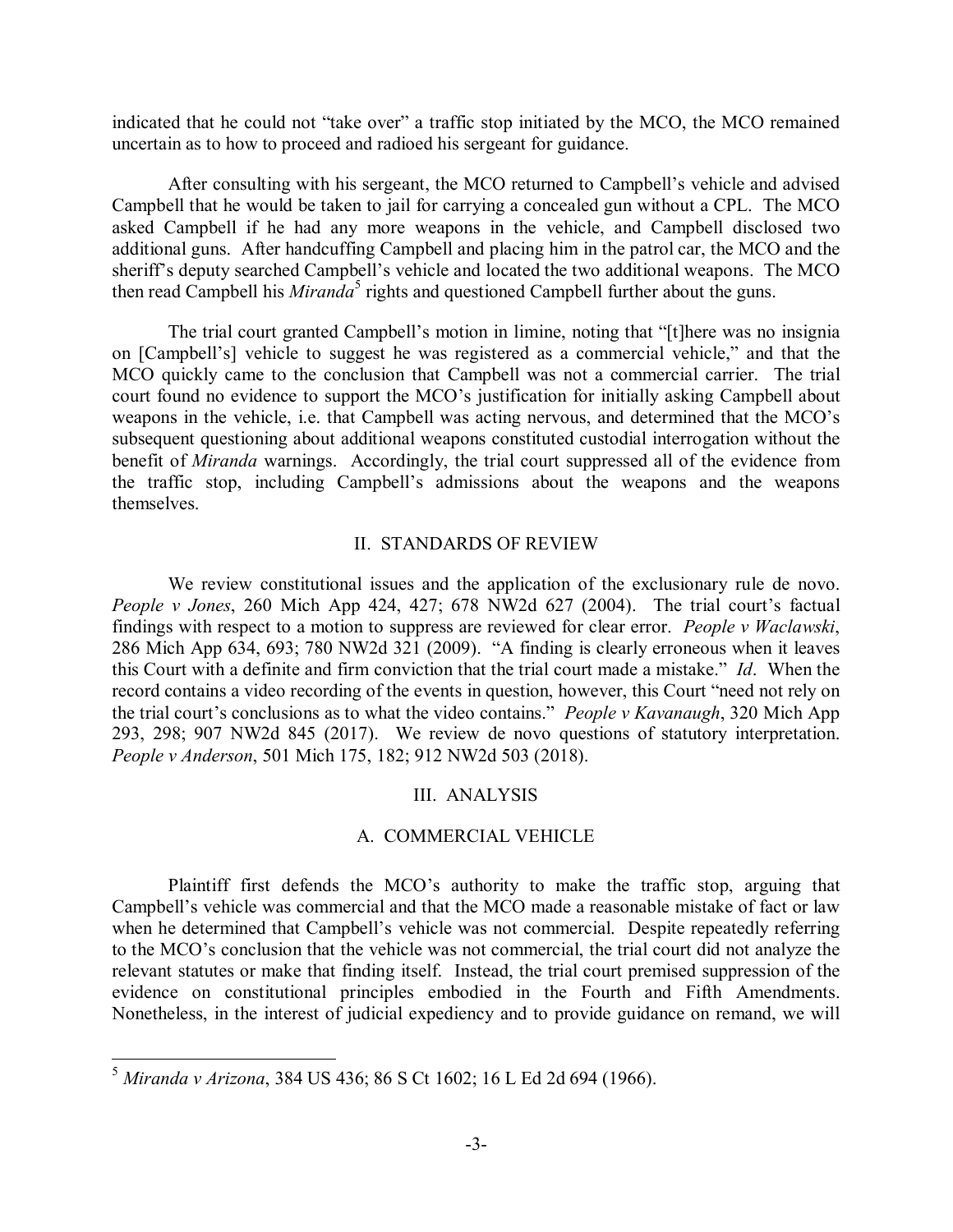indicated that he could not "take over" a traffic stop initiated by the MCO, the MCO remained uncertain as to how to proceed and radioed his sergeant for guidance.

After consulting with his sergeant, the MCO returned to Campbell's vehicle and advised Campbell that he would be taken to jail for carrying a concealed gun without a CPL. The MCO asked Campbell if he had any more weapons in the vehicle, and Campbell disclosed two additional guns. After handcuffing Campbell and placing him in the patrol car, the MCO and the sheriff's deputy searched Campbell's vehicle and located the two additional weapons. The MCO then read Campbell his *Miranda*<sup>5</sup> rights and questioned Campbell further about the guns.

The trial court granted Campbell's motion in limine, noting that "[t]here was no insignia on [Campbell's] vehicle to suggest he was registered as a commercial vehicle," and that the MCO quickly came to the conclusion that Campbell was not a commercial carrier. The trial court found no evidence to support the MCO's justification for initially asking Campbell about weapons in the vehicle, i.e. that Campbell was acting nervous, and determined that the MCO's subsequent questioning about additional weapons constituted custodial interrogation without the benefit of *Miranda* warnings. Accordingly, the trial court suppressed all of the evidence from the traffic stop, including Campbell's admissions about the weapons and the weapons themselves.

#### II. STANDARDS OF REVIEW

We review constitutional issues and the application of the exclusionary rule de novo. *People v Jones*, 260 Mich App 424, 427; 678 NW2d 627 (2004). The trial court's factual findings with respect to a motion to suppress are reviewed for clear error. *People v Waclawski*, 286 Mich App 634, 693; 780 NW2d 321 (2009). "A finding is clearly erroneous when it leaves this Court with a definite and firm conviction that the trial court made a mistake." *Id*. When the record contains a video recording of the events in question, however, this Court "need not rely on the trial court's conclusions as to what the video contains." *People v Kavanaugh*, 320 Mich App 293, 298; 907 NW2d 845 (2017). We review de novo questions of statutory interpretation. *People v Anderson*, 501 Mich 175, 182; 912 NW2d 503 (2018).

#### III. ANALYSIS

## A. COMMERCIAL VEHICLE

Plaintiff first defends the MCO's authority to make the traffic stop, arguing that Campbell's vehicle was commercial and that the MCO made a reasonable mistake of fact or law when he determined that Campbell's vehicle was not commercial. Despite repeatedly referring to the MCO's conclusion that the vehicle was not commercial, the trial court did not analyze the relevant statutes or make that finding itself. Instead, the trial court premised suppression of the evidence on constitutional principles embodied in the Fourth and Fifth Amendments. Nonetheless, in the interest of judicial expediency and to provide guidance on remand, we will

 <sup>5</sup> *Miranda v Arizona*, 384 US 436; 86 S Ct 1602; 16 L Ed 2d 694 (1966).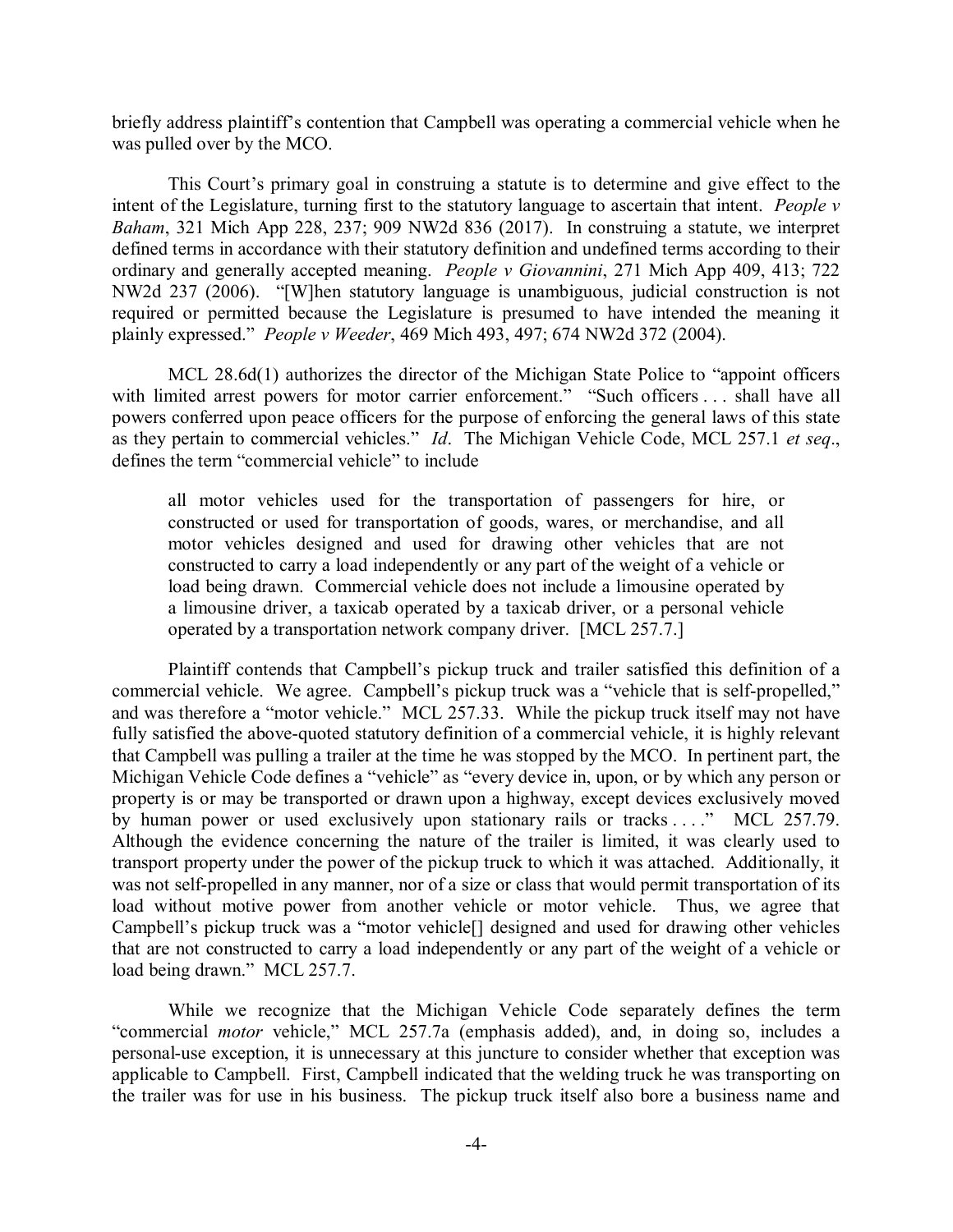briefly address plaintiff's contention that Campbell was operating a commercial vehicle when he was pulled over by the MCO.

This Court's primary goal in construing a statute is to determine and give effect to the intent of the Legislature, turning first to the statutory language to ascertain that intent. *People v Baham*, 321 Mich App 228, 237; 909 NW2d 836 (2017). In construing a statute, we interpret defined terms in accordance with their statutory definition and undefined terms according to their ordinary and generally accepted meaning. *People v Giovannini*, 271 Mich App 409, 413; 722 NW2d 237 (2006). "[W]hen statutory language is unambiguous, judicial construction is not required or permitted because the Legislature is presumed to have intended the meaning it plainly expressed." *People v Weeder*, 469 Mich 493, 497; 674 NW2d 372 (2004).

MCL 28.6d(1) authorizes the director of the Michigan State Police to "appoint officers with limited arrest powers for motor carrier enforcement." "Such officers . . . shall have all powers conferred upon peace officers for the purpose of enforcing the general laws of this state as they pertain to commercial vehicles." *Id*. The Michigan Vehicle Code, MCL 257.1 *et seq*., defines the term "commercial vehicle" to include

all motor vehicles used for the transportation of passengers for hire, or constructed or used for transportation of goods, wares, or merchandise, and all motor vehicles designed and used for drawing other vehicles that are not constructed to carry a load independently or any part of the weight of a vehicle or load being drawn. Commercial vehicle does not include a limousine operated by a limousine driver, a taxicab operated by a taxicab driver, or a personal vehicle operated by a transportation network company driver. [MCL 257.7.]

Plaintiff contends that Campbell's pickup truck and trailer satisfied this definition of a commercial vehicle. We agree. Campbell's pickup truck was a "vehicle that is self-propelled," and was therefore a "motor vehicle." MCL 257.33. While the pickup truck itself may not have fully satisfied the above-quoted statutory definition of a commercial vehicle, it is highly relevant that Campbell was pulling a trailer at the time he was stopped by the MCO. In pertinent part, the Michigan Vehicle Code defines a "vehicle" as "every device in, upon, or by which any person or property is or may be transported or drawn upon a highway, except devices exclusively moved by human power or used exclusively upon stationary rails or tracks ...." MCL 257.79. Although the evidence concerning the nature of the trailer is limited, it was clearly used to transport property under the power of the pickup truck to which it was attached. Additionally, it was not self-propelled in any manner, nor of a size or class that would permit transportation of its load without motive power from another vehicle or motor vehicle. Thus, we agree that Campbell's pickup truck was a "motor vehicle[] designed and used for drawing other vehicles that are not constructed to carry a load independently or any part of the weight of a vehicle or load being drawn." MCL 257.7.

While we recognize that the Michigan Vehicle Code separately defines the term "commercial *motor* vehicle," MCL 257.7a (emphasis added), and, in doing so, includes a personal-use exception, it is unnecessary at this juncture to consider whether that exception was applicable to Campbell. First, Campbell indicated that the welding truck he was transporting on the trailer was for use in his business. The pickup truck itself also bore a business name and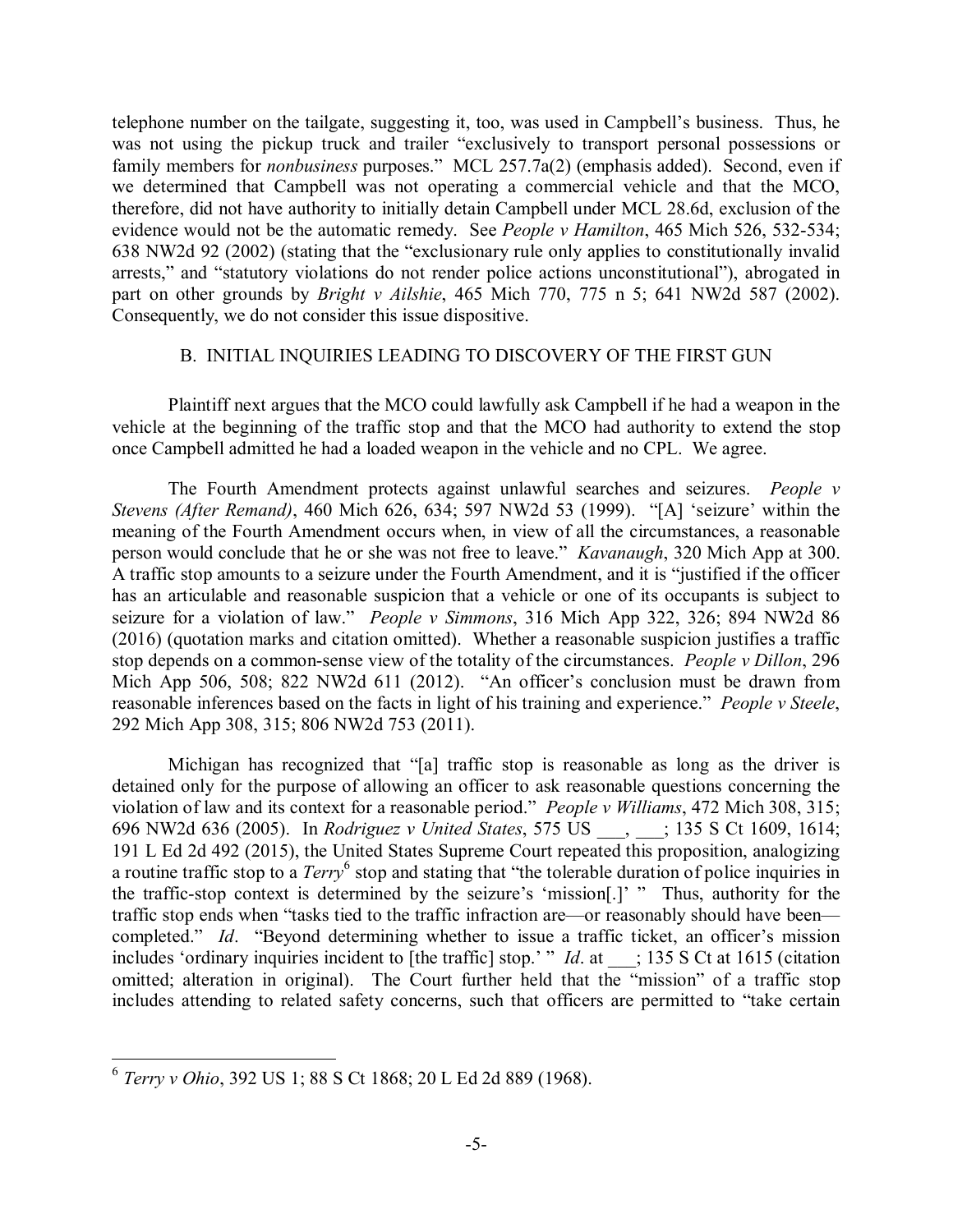telephone number on the tailgate, suggesting it, too, was used in Campbell's business. Thus, he was not using the pickup truck and trailer "exclusively to transport personal possessions or family members for *nonbusiness* purposes." MCL 257.7a(2) (emphasis added). Second, even if we determined that Campbell was not operating a commercial vehicle and that the MCO, therefore, did not have authority to initially detain Campbell under MCL 28.6d, exclusion of the evidence would not be the automatic remedy. See *People v Hamilton*, 465 Mich 526, 532-534; 638 NW2d 92 (2002) (stating that the "exclusionary rule only applies to constitutionally invalid arrests," and "statutory violations do not render police actions unconstitutional"), abrogated in part on other grounds by *Bright v Ailshie*, 465 Mich 770, 775 n 5; 641 NW2d 587 (2002). Consequently, we do not consider this issue dispositive.

#### B. INITIAL INQUIRIES LEADING TO DISCOVERY OF THE FIRST GUN

Plaintiff next argues that the MCO could lawfully ask Campbell if he had a weapon in the vehicle at the beginning of the traffic stop and that the MCO had authority to extend the stop once Campbell admitted he had a loaded weapon in the vehicle and no CPL. We agree.

The Fourth Amendment protects against unlawful searches and seizures. *People v Stevens (After Remand)*, 460 Mich 626, 634; 597 NW2d 53 (1999). "[A] 'seizure' within the meaning of the Fourth Amendment occurs when, in view of all the circumstances, a reasonable person would conclude that he or she was not free to leave." *Kavanaugh*, 320 Mich App at 300. A traffic stop amounts to a seizure under the Fourth Amendment, and it is "justified if the officer has an articulable and reasonable suspicion that a vehicle or one of its occupants is subject to seizure for a violation of law." *People v Simmons*, 316 Mich App 322, 326; 894 NW2d 86 (2016) (quotation marks and citation omitted). Whether a reasonable suspicion justifies a traffic stop depends on a common-sense view of the totality of the circumstances. *People v Dillon*, 296 Mich App 506, 508; 822 NW2d 611 (2012). "An officer's conclusion must be drawn from reasonable inferences based on the facts in light of his training and experience." *People v Steele*, 292 Mich App 308, 315; 806 NW2d 753 (2011).

Michigan has recognized that "[a] traffic stop is reasonable as long as the driver is detained only for the purpose of allowing an officer to ask reasonable questions concerning the violation of law and its context for a reasonable period." *People v Williams*, 472 Mich 308, 315; 696 NW2d 636 (2005). In *Rodriguez v United States*, 575 US \_\_\_, \_\_\_; 135 S Ct 1609, 1614; 191 L Ed 2d 492 (2015), the United States Supreme Court repeated this proposition, analogizing a routine traffic stop to a *Terry*<sup>6</sup> stop and stating that "the tolerable duration of police inquiries in the traffic-stop context is determined by the seizure's 'mission[.]' " Thus, authority for the traffic stop ends when "tasks tied to the traffic infraction are—or reasonably should have been completed." *Id*. "Beyond determining whether to issue a traffic ticket, an officer's mission includes 'ordinary inquiries incident to [the traffic] stop.' " *Id.* at \_\_\_; 135 S Ct at 1615 (citation omitted; alteration in original). The Court further held that the "mission" of a traffic stop includes attending to related safety concerns, such that officers are permitted to "take certain

 <sup>6</sup> *Terry v Ohio*, 392 US 1; 88 S Ct 1868; 20 L Ed 2d 889 (1968).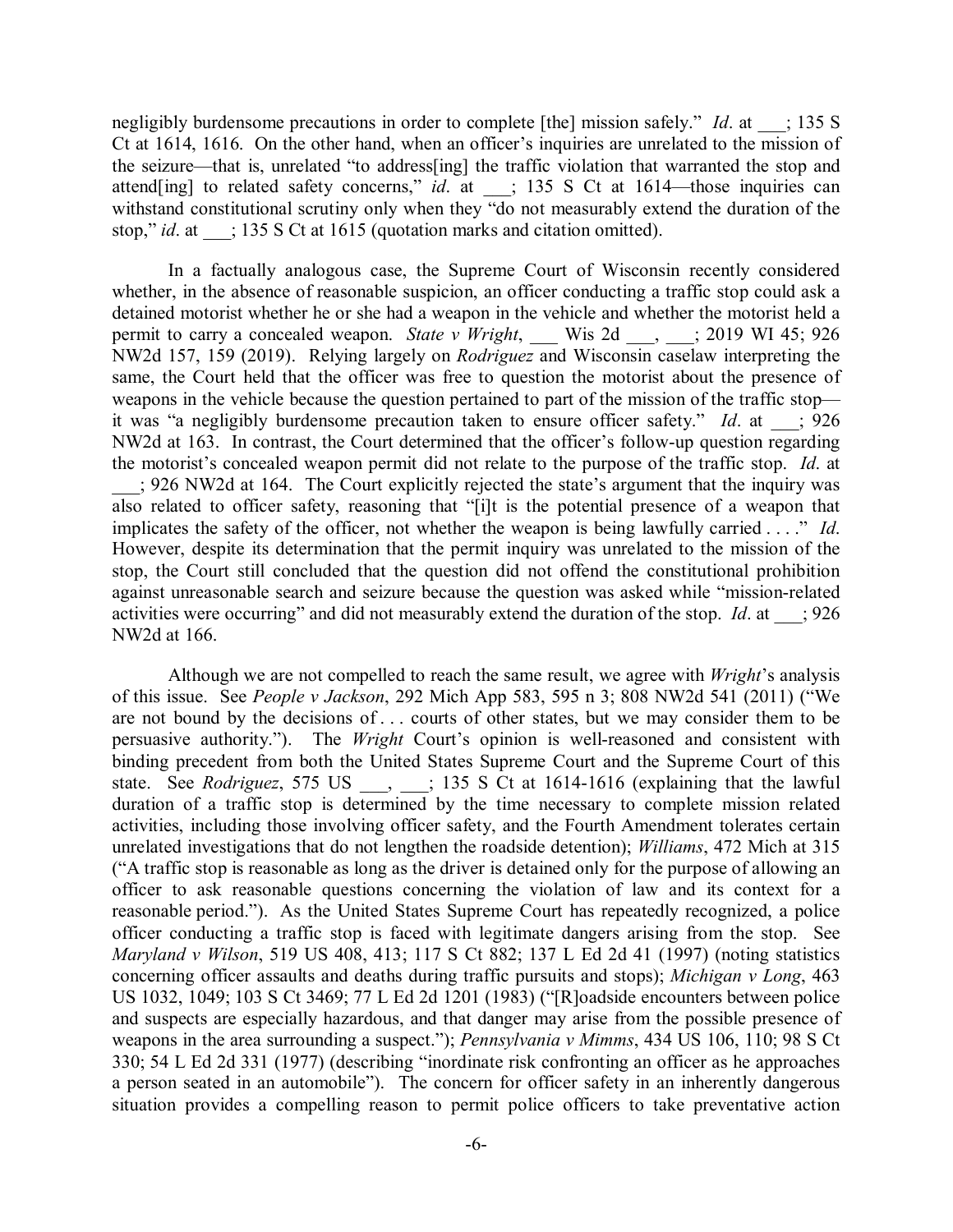negligibly burdensome precautions in order to complete [the] mission safely." *Id.* at  $\therefore$  135 S Ct at 1614, 1616. On the other hand, when an officer's inquiries are unrelated to the mission of the seizure—that is, unrelated "to address[ing] the traffic violation that warranted the stop and attend[ing] to related safety concerns," *id.* at  $\qquad$ ; 135 S Ct at 1614—those inquiries can withstand constitutional scrutiny only when they "do not measurably extend the duration of the stop," *id.* at  $\qquad$ ; 135 S Ct at 1615 (quotation marks and citation omitted).

In a factually analogous case, the Supreme Court of Wisconsin recently considered whether, in the absence of reasonable suspicion, an officer conducting a traffic stop could ask a detained motorist whether he or she had a weapon in the vehicle and whether the motorist held a permit to carry a concealed weapon. *State v Wright*, wis 2d <sub>c</sub>  $\frac{1}{2}$  2019 WI 45; 926 NW2d 157, 159 (2019). Relying largely on *Rodriguez* and Wisconsin caselaw interpreting the same, the Court held that the officer was free to question the motorist about the presence of weapons in the vehicle because the question pertained to part of the mission of the traffic stop it was "a negligibly burdensome precaution taken to ensure officer safety." *Id*. at \_\_\_; 926 NW2d at 163. In contrast, the Court determined that the officer's follow-up question regarding the motorist's concealed weapon permit did not relate to the purpose of the traffic stop. *Id*. at \_\_\_; 926 NW2d at 164. The Court explicitly rejected the state's argument that the inquiry was also related to officer safety, reasoning that "[i]t is the potential presence of a weapon that implicates the safety of the officer, not whether the weapon is being lawfully carried . . . ." *Id*. However, despite its determination that the permit inquiry was unrelated to the mission of the stop, the Court still concluded that the question did not offend the constitutional prohibition against unreasonable search and seizure because the question was asked while "mission-related activities were occurring" and did not measurably extend the duration of the stop. *Id*. at \_\_\_; 926 NW2d at 166.

Although we are not compelled to reach the same result, we agree with *Wright*'s analysis of this issue. See *People v Jackson*, 292 Mich App 583, 595 n 3; 808 NW2d 541 (2011) ("We are not bound by the decisions of . . . courts of other states, but we may consider them to be persuasive authority."). The *Wright* Court's opinion is well-reasoned and consistent with binding precedent from both the United States Supreme Court and the Supreme Court of this state. See *Rodriguez*, 575 US <sub>\_\_\_</sub>, \_\_\_; 135 S Ct at 1614-1616 (explaining that the lawful duration of a traffic stop is determined by the time necessary to complete mission related activities, including those involving officer safety, and the Fourth Amendment tolerates certain unrelated investigations that do not lengthen the roadside detention); *Williams*, 472 Mich at 315 ("A traffic stop is reasonable as long as the driver is detained only for the purpose of allowing an officer to ask reasonable questions concerning the violation of law and its context for a reasonable period."). As the United States Supreme Court has repeatedly recognized, a police officer conducting a traffic stop is faced with legitimate dangers arising from the stop. See *Maryland v Wilson*, 519 US 408, 413; 117 S Ct 882; 137 L Ed 2d 41 (1997) (noting statistics concerning officer assaults and deaths during traffic pursuits and stops); *Michigan v Long*, 463 US 1032, 1049; 103 S Ct 3469; 77 L Ed 2d 1201 (1983) ("[R]oadside encounters between police and suspects are especially hazardous, and that danger may arise from the possible presence of weapons in the area surrounding a suspect."); *Pennsylvania v Mimms*, 434 US 106, 110; 98 S Ct 330; 54 L Ed 2d 331 (1977) (describing "inordinate risk confronting an officer as he approaches a person seated in an automobile"). The concern for officer safety in an inherently dangerous situation provides a compelling reason to permit police officers to take preventative action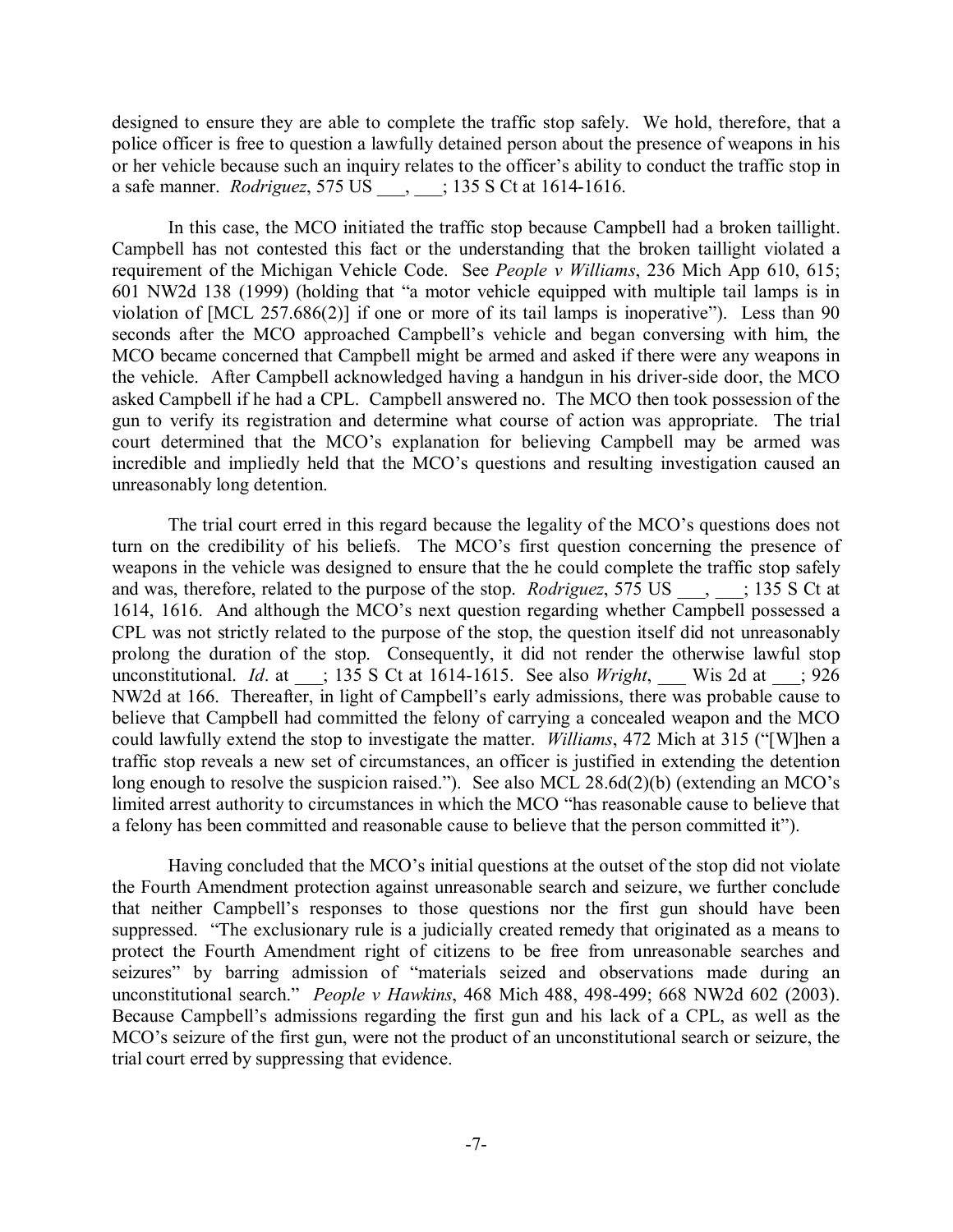designed to ensure they are able to complete the traffic stop safely. We hold, therefore, that a police officer is free to question a lawfully detained person about the presence of weapons in his or her vehicle because such an inquiry relates to the officer's ability to conduct the traffic stop in a safe manner. *Rodriguez*, 575 US . . . . . . . . . . . . 135 S Ct at 1614-1616.

In this case, the MCO initiated the traffic stop because Campbell had a broken taillight. Campbell has not contested this fact or the understanding that the broken taillight violated a requirement of the Michigan Vehicle Code. See *People v Williams*, 236 Mich App 610, 615; 601 NW2d 138 (1999) (holding that "a motor vehicle equipped with multiple tail lamps is in violation of [MCL 257.686(2)] if one or more of its tail lamps is inoperative"). Less than 90 seconds after the MCO approached Campbell's vehicle and began conversing with him, the MCO became concerned that Campbell might be armed and asked if there were any weapons in the vehicle. After Campbell acknowledged having a handgun in his driver-side door, the MCO asked Campbell if he had a CPL. Campbell answered no. The MCO then took possession of the gun to verify its registration and determine what course of action was appropriate. The trial court determined that the MCO's explanation for believing Campbell may be armed was incredible and impliedly held that the MCO's questions and resulting investigation caused an unreasonably long detention.

The trial court erred in this regard because the legality of the MCO's questions does not turn on the credibility of his beliefs. The MCO's first question concerning the presence of weapons in the vehicle was designed to ensure that the he could complete the traffic stop safely and was, therefore, related to the purpose of the stop. *Rodriguez*, 575 US  $\ldots$  ; 135 S Ct at 1614, 1616. And although the MCO's next question regarding whether Campbell possessed a CPL was not strictly related to the purpose of the stop, the question itself did not unreasonably prolong the duration of the stop. Consequently, it did not render the otherwise lawful stop unconstitutional. *Id.* at \_\_\_; 135 S Ct at 1614-1615. See also *Wright*, Wis 2d at  $\therefore$  926 NW2d at 166. Thereafter, in light of Campbell's early admissions, there was probable cause to believe that Campbell had committed the felony of carrying a concealed weapon and the MCO could lawfully extend the stop to investigate the matter. *Williams*, 472 Mich at 315 ("[W]hen a traffic stop reveals a new set of circumstances, an officer is justified in extending the detention long enough to resolve the suspicion raised."). See also MCL 28.6d(2)(b) (extending an MCO's limited arrest authority to circumstances in which the MCO "has reasonable cause to believe that a felony has been committed and reasonable cause to believe that the person committed it").

Having concluded that the MCO's initial questions at the outset of the stop did not violate the Fourth Amendment protection against unreasonable search and seizure, we further conclude that neither Campbell's responses to those questions nor the first gun should have been suppressed. "The exclusionary rule is a judicially created remedy that originated as a means to protect the Fourth Amendment right of citizens to be free from unreasonable searches and seizures" by barring admission of "materials seized and observations made during an unconstitutional search." *People v Hawkins*, 468 Mich 488, 498-499; 668 NW2d 602 (2003). Because Campbell's admissions regarding the first gun and his lack of a CPL, as well as the MCO's seizure of the first gun, were not the product of an unconstitutional search or seizure, the trial court erred by suppressing that evidence.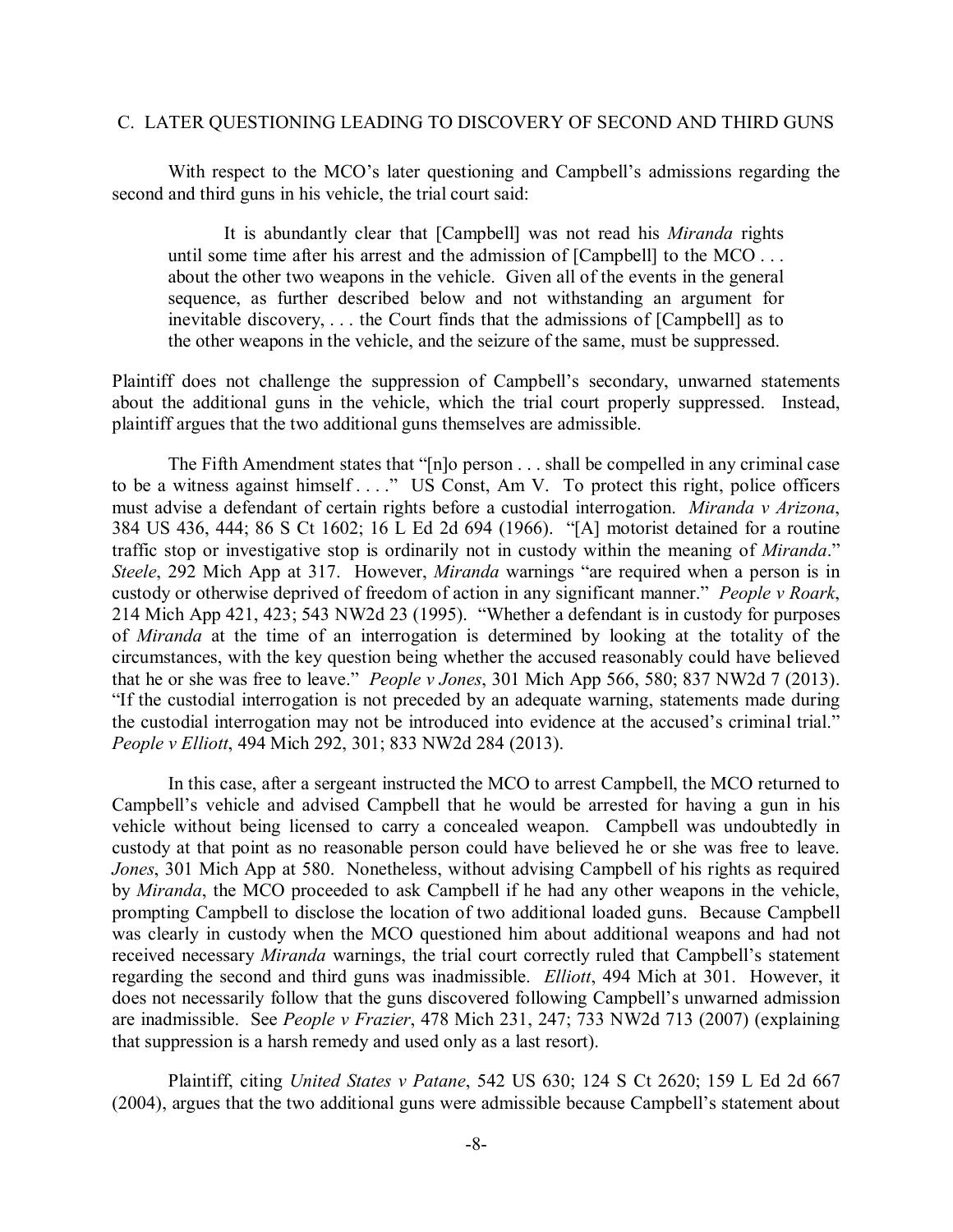#### C. LATER QUESTIONING LEADING TO DISCOVERY OF SECOND AND THIRD GUNS

With respect to the MCO's later questioning and Campbell's admissions regarding the second and third guns in his vehicle, the trial court said:

It is abundantly clear that [Campbell] was not read his *Miranda* rights until some time after his arrest and the admission of [Campbell] to the MCO . . . about the other two weapons in the vehicle. Given all of the events in the general sequence, as further described below and not withstanding an argument for inevitable discovery, . . . the Court finds that the admissions of [Campbell] as to the other weapons in the vehicle, and the seizure of the same, must be suppressed.

Plaintiff does not challenge the suppression of Campbell's secondary, unwarned statements about the additional guns in the vehicle, which the trial court properly suppressed. Instead, plaintiff argues that the two additional guns themselves are admissible.

The Fifth Amendment states that "[n]o person . . . shall be compelled in any criminal case to be a witness against himself . . . ." US Const, Am V. To protect this right, police officers must advise a defendant of certain rights before a custodial interrogation. *Miranda v Arizona*, 384 US 436, 444; 86 S Ct 1602; 16 L Ed 2d 694 (1966). "[A] motorist detained for a routine traffic stop or investigative stop is ordinarily not in custody within the meaning of *Miranda*." *Steele*, 292 Mich App at 317. However, *Miranda* warnings "are required when a person is in custody or otherwise deprived of freedom of action in any significant manner." *People v Roark*, 214 Mich App 421, 423; 543 NW2d 23 (1995). "Whether a defendant is in custody for purposes of *Miranda* at the time of an interrogation is determined by looking at the totality of the circumstances, with the key question being whether the accused reasonably could have believed that he or she was free to leave." *People v Jones*, 301 Mich App 566, 580; 837 NW2d 7 (2013). "If the custodial interrogation is not preceded by an adequate warning, statements made during the custodial interrogation may not be introduced into evidence at the accused's criminal trial." *People v Elliott*, 494 Mich 292, 301; 833 NW2d 284 (2013).

In this case, after a sergeant instructed the MCO to arrest Campbell, the MCO returned to Campbell's vehicle and advised Campbell that he would be arrested for having a gun in his vehicle without being licensed to carry a concealed weapon. Campbell was undoubtedly in custody at that point as no reasonable person could have believed he or she was free to leave. *Jones*, 301 Mich App at 580. Nonetheless, without advising Campbell of his rights as required by *Miranda*, the MCO proceeded to ask Campbell if he had any other weapons in the vehicle, prompting Campbell to disclose the location of two additional loaded guns. Because Campbell was clearly in custody when the MCO questioned him about additional weapons and had not received necessary *Miranda* warnings, the trial court correctly ruled that Campbell's statement regarding the second and third guns was inadmissible. *Elliott*, 494 Mich at 301. However, it does not necessarily follow that the guns discovered following Campbell's unwarned admission are inadmissible. See *People v Frazier*, 478 Mich 231, 247; 733 NW2d 713 (2007) (explaining that suppression is a harsh remedy and used only as a last resort).

Plaintiff, citing *United States v Patane*, 542 US 630; 124 S Ct 2620; 159 L Ed 2d 667 (2004), argues that the two additional guns were admissible because Campbell's statement about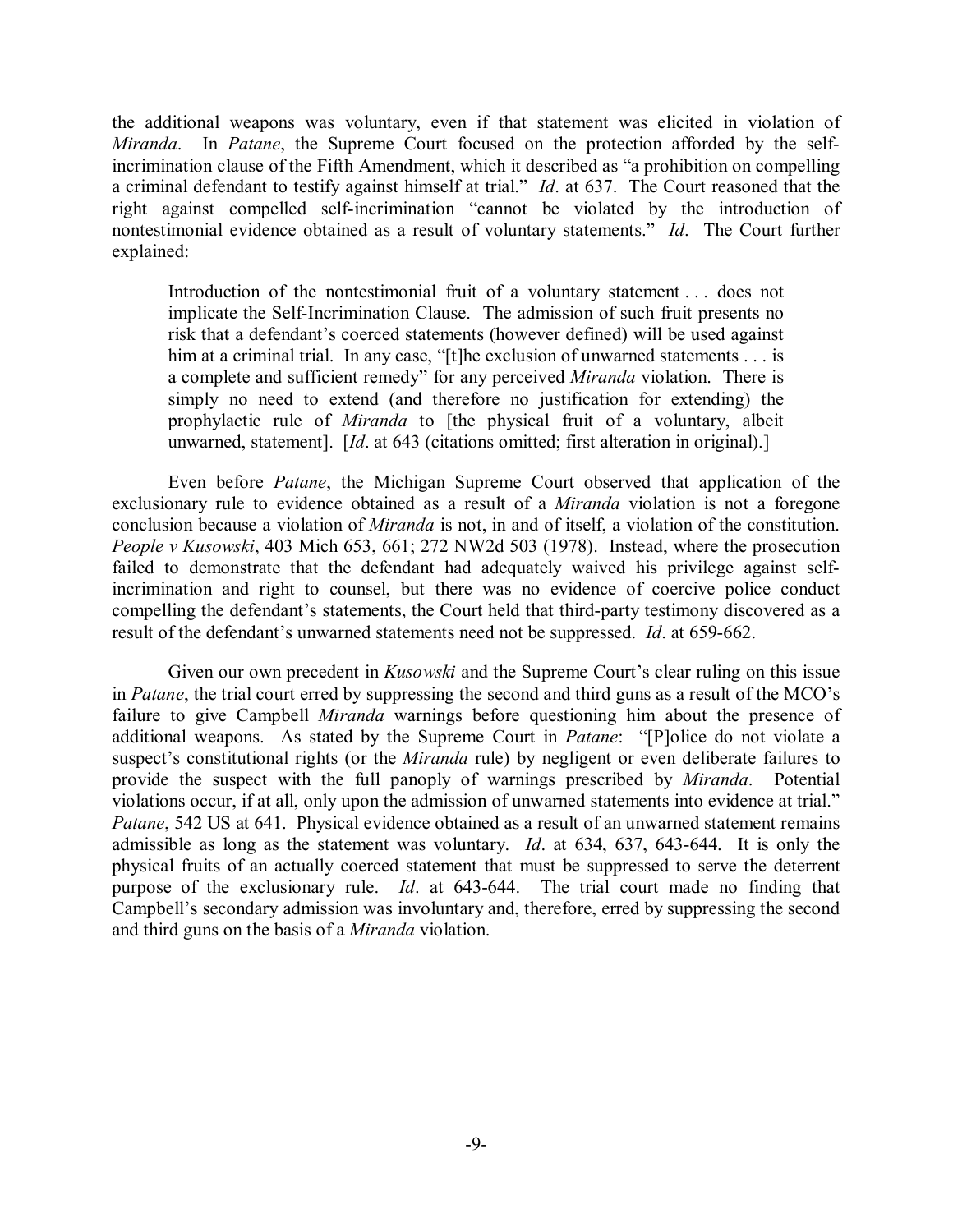the additional weapons was voluntary, even if that statement was elicited in violation of *Miranda*. In *Patane*, the Supreme Court focused on the protection afforded by the selfincrimination clause of the Fifth Amendment, which it described as "a prohibition on compelling a criminal defendant to testify against himself at trial." *Id*. at 637. The Court reasoned that the right against compelled self-incrimination "cannot be violated by the introduction of nontestimonial evidence obtained as a result of voluntary statements." *Id*. The Court further explained:

Introduction of the nontestimonial fruit of a voluntary statement . . . does not implicate the Self-Incrimination Clause. The admission of such fruit presents no risk that a defendant's coerced statements (however defined) will be used against him at a criminal trial. In any case, "[t]he exclusion of unwarned statements . . . is a complete and sufficient remedy" for any perceived *Miranda* violation. There is simply no need to extend (and therefore no justification for extending) the prophylactic rule of *Miranda* to [the physical fruit of a voluntary, albeit unwarned, statement]. [*Id*. at 643 (citations omitted; first alteration in original).]

Even before *Patane*, the Michigan Supreme Court observed that application of the exclusionary rule to evidence obtained as a result of a *Miranda* violation is not a foregone conclusion because a violation of *Miranda* is not, in and of itself, a violation of the constitution. *People v Kusowski*, 403 Mich 653, 661; 272 NW2d 503 (1978). Instead, where the prosecution failed to demonstrate that the defendant had adequately waived his privilege against selfincrimination and right to counsel, but there was no evidence of coercive police conduct compelling the defendant's statements, the Court held that third-party testimony discovered as a result of the defendant's unwarned statements need not be suppressed. *Id*. at 659-662.

Given our own precedent in *Kusowski* and the Supreme Court's clear ruling on this issue in *Patane*, the trial court erred by suppressing the second and third guns as a result of the MCO's failure to give Campbell *Miranda* warnings before questioning him about the presence of additional weapons. As stated by the Supreme Court in *Patane*: "[P]olice do not violate a suspect's constitutional rights (or the *Miranda* rule) by negligent or even deliberate failures to provide the suspect with the full panoply of warnings prescribed by *Miranda*. Potential violations occur, if at all, only upon the admission of unwarned statements into evidence at trial." *Patane*, 542 US at 641. Physical evidence obtained as a result of an unwarned statement remains admissible as long as the statement was voluntary. *Id*. at 634, 637, 643-644. It is only the physical fruits of an actually coerced statement that must be suppressed to serve the deterrent purpose of the exclusionary rule. *Id*. at 643-644. The trial court made no finding that Campbell's secondary admission was involuntary and, therefore, erred by suppressing the second and third guns on the basis of a *Miranda* violation.